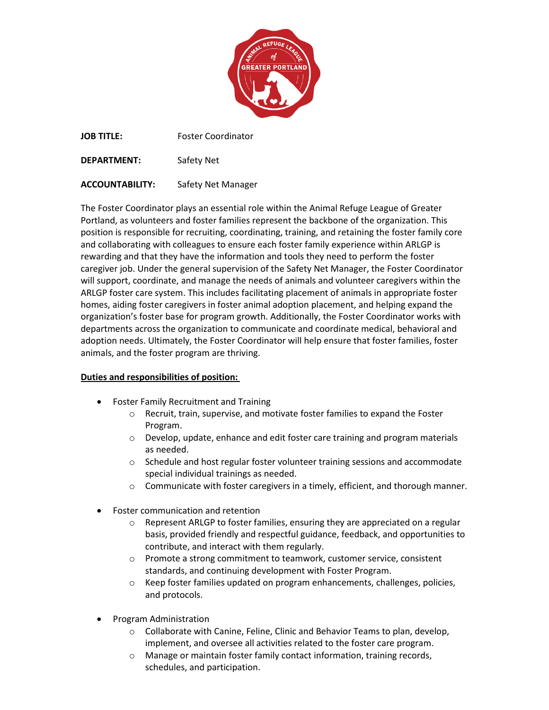

**JOB TITLE:** Foster Coordinator

**DEPARTMENT:** Safety Net

**ACCOUNTABILITY:** Safety Net Manager

The Foster Coordinator plays an essential role within the Animal Refuge League of Greater Portland, as volunteers and foster families represent the backbone of the organization. This position is responsible for recruiting, coordinating, training, and retaining the foster family core and collaborating with colleagues to ensure each foster family experience within ARLGP is rewarding and that they have the information and tools they need to perform the foster caregiver job. Under the general supervision of the Safety Net Manager, the Foster Coordinator will support, coordinate, and manage the needs of animals and volunteer caregivers within the ARLGP foster care system. This includes facilitating placement of animals in appropriate foster homes, aiding foster caregivers in foster animal adoption placement, and helping expand the organization's foster base for program growth. Additionally, the Foster Coordinator works with departments across the organization to communicate and coordinate medical, behavioral and adoption needs. Ultimately, the Foster Coordinator will help ensure that foster families, foster animals, and the foster program are thriving.

## **Duties and responsibilities of position:**

- Foster Family Recruitment and Training
	- o Recruit, train, supervise, and motivate foster families to expand the Foster Program.
	- o Develop, update, enhance and edit foster care training and program materials as needed.
	- $\circ$  Schedule and host regular foster volunteer training sessions and accommodate special individual trainings as needed.
	- $\circ$  Communicate with foster caregivers in a timely, efficient, and thorough manner.
- Foster communication and retention
	- o Represent ARLGP to foster families, ensuring they are appreciated on a regular basis, provided friendly and respectful guidance, feedback, and opportunities to contribute, and interact with them regularly.
	- o Promote a strong commitment to teamwork, customer service, consistent standards, and continuing development with Foster Program.
	- $\circ$  Keep foster families updated on program enhancements, challenges, policies, and protocols.
- Program Administration
	- o Collaborate with Canine, Feline, Clinic and Behavior Teams to plan, develop, implement, and oversee all activities related to the foster care program.
	- o Manage or maintain foster family contact information, training records, schedules, and participation.